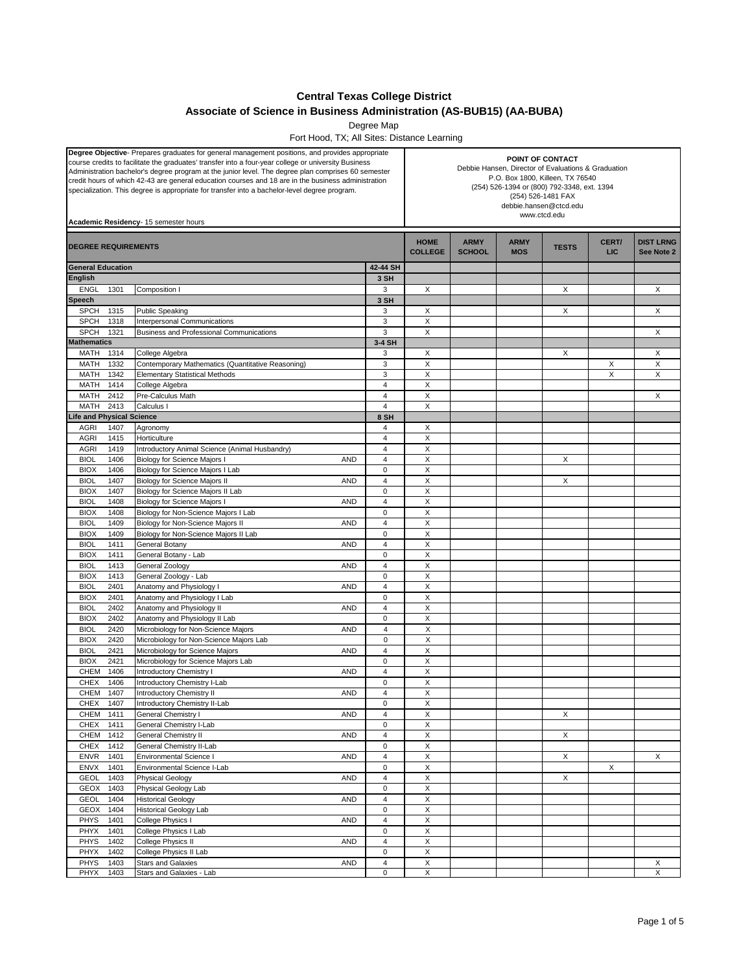## **Central Texas College District**

## **Associate of Science in Business Administration (AS-BUB15) (AA-BUBA)**

Degree Map

Fort Hood, TX; All Sites: Distance Learning

| <b>Degree Objective-</b> Prepares graduates for general management positions, and provides appropriate<br>course credits to facilitate the graduates' transfer into a four-year college or university Business<br>Administration bachelor's degree program at the junior level. The degree plan comprises 60 semester<br>credit hours of which 42-43 are general education courses and 18 are in the business administration<br>specialization. This degree is appropriate for transfer into a bachelor-level degree program.<br>Academic Residency- 15 semester hours |              |                                                                                    |                                  |                               | POINT OF CONTACT<br>Debbie Hansen, Director of Evaluations & Graduation<br>P.O. Box 1800, Killeen, TX 76540<br>(254) 526-1394 or (800) 792-3348, ext. 1394<br>(254) 526-1481 FAX<br>debbie.hansen@ctcd.edu<br>www.ctcd.edu |                           |              |                     |                                |  |
|------------------------------------------------------------------------------------------------------------------------------------------------------------------------------------------------------------------------------------------------------------------------------------------------------------------------------------------------------------------------------------------------------------------------------------------------------------------------------------------------------------------------------------------------------------------------|--------------|------------------------------------------------------------------------------------|----------------------------------|-------------------------------|----------------------------------------------------------------------------------------------------------------------------------------------------------------------------------------------------------------------------|---------------------------|--------------|---------------------|--------------------------------|--|
| <b>DEGREE REQUIREMENTS</b>                                                                                                                                                                                                                                                                                                                                                                                                                                                                                                                                             |              |                                                                                    |                                  | <b>HOME</b><br><b>COLLEGE</b> | <b>ARMY</b><br><b>SCHOOL</b>                                                                                                                                                                                               | <b>ARMY</b><br><b>MOS</b> | <b>TESTS</b> | CERT/<br><b>LIC</b> | <b>DIST LRNG</b><br>See Note 2 |  |
| <b>General Education</b>                                                                                                                                                                                                                                                                                                                                                                                                                                                                                                                                               |              |                                                                                    | 42-44 SH                         |                               |                                                                                                                                                                                                                            |                           |              |                     |                                |  |
| English                                                                                                                                                                                                                                                                                                                                                                                                                                                                                                                                                                |              |                                                                                    | 3 SH                             |                               |                                                                                                                                                                                                                            |                           |              |                     |                                |  |
| <b>ENGL</b>                                                                                                                                                                                                                                                                                                                                                                                                                                                                                                                                                            | 1301         | Composition I                                                                      | 3                                | X                             |                                                                                                                                                                                                                            |                           | X            |                     | X                              |  |
| Speech<br><b>SPCH</b>                                                                                                                                                                                                                                                                                                                                                                                                                                                                                                                                                  | 1315         | <b>Public Speaking</b>                                                             | 3 SH<br>3                        | X                             |                                                                                                                                                                                                                            |                           | X            |                     | X                              |  |
| <b>SPCH</b>                                                                                                                                                                                                                                                                                                                                                                                                                                                                                                                                                            | 1318         | Interpersonal Communications                                                       | 3                                | X                             |                                                                                                                                                                                                                            |                           |              |                     |                                |  |
| <b>SPCH</b>                                                                                                                                                                                                                                                                                                                                                                                                                                                                                                                                                            | 1321         | Business and Professional Communications                                           | 3                                | X                             |                                                                                                                                                                                                                            |                           |              |                     | X                              |  |
| <b>Mathematics</b>                                                                                                                                                                                                                                                                                                                                                                                                                                                                                                                                                     |              |                                                                                    | 3-4 SH                           |                               |                                                                                                                                                                                                                            |                           |              |                     |                                |  |
| MATH                                                                                                                                                                                                                                                                                                                                                                                                                                                                                                                                                                   | 1314         | College Algebra                                                                    | 3                                | X                             |                                                                                                                                                                                                                            |                           | X            |                     | X                              |  |
| <b>MATH</b>                                                                                                                                                                                                                                                                                                                                                                                                                                                                                                                                                            | 1332         | Contemporary Mathematics (Quantitative Reasoning)                                  | 3                                | X                             |                                                                                                                                                                                                                            |                           |              | X                   | X                              |  |
| <b>MATH</b>                                                                                                                                                                                                                                                                                                                                                                                                                                                                                                                                                            | 1342         | <b>Elementary Statistical Methods</b>                                              | 3                                | X                             |                                                                                                                                                                                                                            |                           |              | X                   | X                              |  |
| <b>MATH</b><br>MATH                                                                                                                                                                                                                                                                                                                                                                                                                                                                                                                                                    | 1414<br>2412 | College Algebra<br>Pre-Calculus Math                                               | $\overline{4}$<br>$\overline{4}$ | X<br>X                        |                                                                                                                                                                                                                            |                           |              |                     | X                              |  |
| <b>MATH</b>                                                                                                                                                                                                                                                                                                                                                                                                                                                                                                                                                            | 2413         | Calculus I                                                                         | $\overline{4}$                   | X                             |                                                                                                                                                                                                                            |                           |              |                     |                                |  |
| <b>Life and Physical Science</b>                                                                                                                                                                                                                                                                                                                                                                                                                                                                                                                                       |              |                                                                                    | 8 SH                             |                               |                                                                                                                                                                                                                            |                           |              |                     |                                |  |
| <b>AGRI</b>                                                                                                                                                                                                                                                                                                                                                                                                                                                                                                                                                            | 1407         | Agronomy                                                                           | 4                                | X                             |                                                                                                                                                                                                                            |                           |              |                     |                                |  |
| <b>AGRI</b>                                                                                                                                                                                                                                                                                                                                                                                                                                                                                                                                                            | 1415         | Horticulture                                                                       | $\overline{4}$                   | X                             |                                                                                                                                                                                                                            |                           |              |                     |                                |  |
| <b>AGRI</b>                                                                                                                                                                                                                                                                                                                                                                                                                                                                                                                                                            | 1419         | Introductory Animal Science (Animal Husbandry)                                     | $\overline{4}$                   | X                             |                                                                                                                                                                                                                            |                           |              |                     |                                |  |
| <b>BIOL</b>                                                                                                                                                                                                                                                                                                                                                                                                                                                                                                                                                            | 1406         | <b>Biology for Science Majors I</b><br>AND                                         | $\overline{4}$                   | X                             |                                                                                                                                                                                                                            |                           | X            |                     |                                |  |
| <b>BIOX</b>                                                                                                                                                                                                                                                                                                                                                                                                                                                                                                                                                            | 1406         | Biology for Science Majors I Lab                                                   | $\mathbf 0$                      | X                             |                                                                                                                                                                                                                            |                           |              |                     |                                |  |
| <b>BIOL</b>                                                                                                                                                                                                                                                                                                                                                                                                                                                                                                                                                            | 1407         | <b>Biology for Science Majors II</b><br>AND                                        | $\overline{4}$                   | X                             |                                                                                                                                                                                                                            |                           | X            |                     |                                |  |
| <b>BIOX</b>                                                                                                                                                                                                                                                                                                                                                                                                                                                                                                                                                            | 1407         | Biology for Science Majors II Lab                                                  | $\bf 0$                          | X                             |                                                                                                                                                                                                                            |                           |              |                     |                                |  |
| <b>BIOL</b><br><b>BIOX</b>                                                                                                                                                                                                                                                                                                                                                                                                                                                                                                                                             | 1408<br>1408 | <b>Biology for Science Majors I</b><br>AND<br>Biology for Non-Science Majors I Lab | $\overline{4}$<br>$\mathbf 0$    | X<br>X                        |                                                                                                                                                                                                                            |                           |              |                     |                                |  |
| <b>BIOL</b>                                                                                                                                                                                                                                                                                                                                                                                                                                                                                                                                                            | 1409         | Biology for Non-Science Majors II<br>AND                                           | $\overline{4}$                   | X                             |                                                                                                                                                                                                                            |                           |              |                     |                                |  |
| <b>BIOX</b>                                                                                                                                                                                                                                                                                                                                                                                                                                                                                                                                                            | 1409         | Biology for Non-Science Majors II Lab                                              | $\bf 0$                          | X                             |                                                                                                                                                                                                                            |                           |              |                     |                                |  |
| <b>BIOL</b>                                                                                                                                                                                                                                                                                                                                                                                                                                                                                                                                                            | 1411         | General Botany<br>AND                                                              | $\overline{4}$                   | $\mathsf X$                   |                                                                                                                                                                                                                            |                           |              |                     |                                |  |
| <b>BIOX</b>                                                                                                                                                                                                                                                                                                                                                                                                                                                                                                                                                            | 1411         | General Botany - Lab                                                               | $\bf 0$                          | X                             |                                                                                                                                                                                                                            |                           |              |                     |                                |  |
| <b>BIOL</b>                                                                                                                                                                                                                                                                                                                                                                                                                                                                                                                                                            | 1413         | General Zoology<br>AND                                                             | $\overline{4}$                   | X                             |                                                                                                                                                                                                                            |                           |              |                     |                                |  |
| <b>BIOX</b>                                                                                                                                                                                                                                                                                                                                                                                                                                                                                                                                                            | 1413         | General Zoology - Lab                                                              | $\bf 0$                          | X                             |                                                                                                                                                                                                                            |                           |              |                     |                                |  |
| <b>BIOL</b>                                                                                                                                                                                                                                                                                                                                                                                                                                                                                                                                                            | 2401         | Anatomy and Physiology I<br><b>AND</b>                                             | $\overline{4}$                   | X                             |                                                                                                                                                                                                                            |                           |              |                     |                                |  |
| <b>BIOX</b>                                                                                                                                                                                                                                                                                                                                                                                                                                                                                                                                                            | 2401         | Anatomy and Physiology I Lab                                                       | $\mathbf 0$                      | X                             |                                                                                                                                                                                                                            |                           |              |                     |                                |  |
| <b>BIOL</b><br><b>BIOX</b>                                                                                                                                                                                                                                                                                                                                                                                                                                                                                                                                             | 2402<br>2402 | Anatomy and Physiology II<br>AND<br>Anatomy and Physiology II Lab                  | $\overline{4}$<br>$\bf 0$        | X<br>X                        |                                                                                                                                                                                                                            |                           |              |                     |                                |  |
| <b>BIOL</b>                                                                                                                                                                                                                                                                                                                                                                                                                                                                                                                                                            | 2420         | Microbiology for Non-Science Majors<br><b>AND</b>                                  | $\overline{\mathbf{4}}$          | X                             |                                                                                                                                                                                                                            |                           |              |                     |                                |  |
| <b>BIOX</b>                                                                                                                                                                                                                                                                                                                                                                                                                                                                                                                                                            | 2420         | Microbiology for Non-Science Majors Lab                                            | $\bf 0$                          | $\mathsf X$                   |                                                                                                                                                                                                                            |                           |              |                     |                                |  |
| <b>BIOL</b>                                                                                                                                                                                                                                                                                                                                                                                                                                                                                                                                                            | 2421         | Microbiology for Science Majors<br>AND                                             | $\overline{4}$                   | X                             |                                                                                                                                                                                                                            |                           |              |                     |                                |  |
| <b>BIOX</b>                                                                                                                                                                                                                                                                                                                                                                                                                                                                                                                                                            | 2421         | Microbiology for Science Majors Lab                                                | $\mathbf 0$                      | X                             |                                                                                                                                                                                                                            |                           |              |                     |                                |  |
| CHEM                                                                                                                                                                                                                                                                                                                                                                                                                                                                                                                                                                   | 1406         | <b>Introductory Chemistry I</b><br>AND                                             | $\overline{4}$                   | X                             |                                                                                                                                                                                                                            |                           |              |                     |                                |  |
| <b>CHEX</b>                                                                                                                                                                                                                                                                                                                                                                                                                                                                                                                                                            | 1406         | Introductory Chemistry I-Lab                                                       | $\mathbf 0$                      | X                             |                                                                                                                                                                                                                            |                           |              |                     |                                |  |
| CHEM                                                                                                                                                                                                                                                                                                                                                                                                                                                                                                                                                                   | 1407         | Introductory Chemistry II<br>AND                                                   | $\overline{4}$                   | X                             |                                                                                                                                                                                                                            |                           |              |                     |                                |  |
| CHEX 1407                                                                                                                                                                                                                                                                                                                                                                                                                                                                                                                                                              |              | Introductory Chemistry II-Lab                                                      | 0                                | Х                             |                                                                                                                                                                                                                            |                           |              |                     |                                |  |
| CHEM<br><b>CHEX</b>                                                                                                                                                                                                                                                                                                                                                                                                                                                                                                                                                    | 1411<br>1411 | AND<br>General Chemistry I<br>General Chemistry I-Lab                              | $\overline{4}$<br>$\mathbf 0$    | $\mathsf X$<br>X              |                                                                                                                                                                                                                            |                           | X            |                     |                                |  |
| CHEM                                                                                                                                                                                                                                                                                                                                                                                                                                                                                                                                                                   | 1412         | General Chemistry II<br>AND                                                        | $\sqrt{4}$                       | $\mathsf X$                   |                                                                                                                                                                                                                            |                           | X            |                     |                                |  |
| <b>CHEX</b>                                                                                                                                                                                                                                                                                                                                                                                                                                                                                                                                                            | 1412         | General Chemistry II-Lab                                                           | $\mathbf 0$                      | X                             |                                                                                                                                                                                                                            |                           |              |                     |                                |  |
| <b>ENVR</b>                                                                                                                                                                                                                                                                                                                                                                                                                                                                                                                                                            | 1401         | Environmental Science I<br><b>AND</b>                                              | $\overline{4}$                   | $\mathsf X$                   |                                                                                                                                                                                                                            |                           | X            |                     | X                              |  |
| <b>ENVX</b>                                                                                                                                                                                                                                                                                                                                                                                                                                                                                                                                                            | 1401         | Environmental Science I-Lab                                                        | $\mathbf 0$                      | X                             |                                                                                                                                                                                                                            |                           |              | X                   |                                |  |
| <b>GEOL</b>                                                                                                                                                                                                                                                                                                                                                                                                                                                                                                                                                            | 1403         | <b>Physical Geology</b><br>AND                                                     | $\overline{4}$                   | X                             |                                                                                                                                                                                                                            |                           | X            |                     |                                |  |
| <b>GEOX</b>                                                                                                                                                                                                                                                                                                                                                                                                                                                                                                                                                            | 1403         | Physical Geology Lab                                                               | $\mathbf 0$                      | X                             |                                                                                                                                                                                                                            |                           |              |                     |                                |  |
| <b>GEOL</b>                                                                                                                                                                                                                                                                                                                                                                                                                                                                                                                                                            | 1404         | AND<br><b>Historical Geology</b>                                                   | $\overline{4}$                   | $\mathsf X$                   |                                                                                                                                                                                                                            |                           |              |                     |                                |  |
| <b>GEOX</b>                                                                                                                                                                                                                                                                                                                                                                                                                                                                                                                                                            | 1404         | <b>Historical Geology Lab</b>                                                      | $\mathbf 0$                      | $\mathsf X$                   |                                                                                                                                                                                                                            |                           |              |                     |                                |  |
| PHYS                                                                                                                                                                                                                                                                                                                                                                                                                                                                                                                                                                   | 1401         | College Physics I<br>AND                                                           | $\overline{4}$                   | X                             |                                                                                                                                                                                                                            |                           |              |                     |                                |  |
| PHYX<br>PHYS                                                                                                                                                                                                                                                                                                                                                                                                                                                                                                                                                           | 1401<br>1402 | College Physics I Lab<br>College Physics II<br>AND                                 | $\mathbf 0$<br>$\overline{4}$    | X<br>X                        |                                                                                                                                                                                                                            |                           |              |                     |                                |  |
| PHYX                                                                                                                                                                                                                                                                                                                                                                                                                                                                                                                                                                   | 1402         | College Physics II Lab                                                             | $\mathbf 0$                      | $\boldsymbol{\mathsf{X}}$     |                                                                                                                                                                                                                            |                           |              |                     |                                |  |
| <b>PHYS</b>                                                                                                                                                                                                                                                                                                                                                                                                                                                                                                                                                            | 1403         | <b>Stars and Galaxies</b><br>AND                                                   | $\overline{4}$                   | X                             |                                                                                                                                                                                                                            |                           |              |                     | X                              |  |
| PHYX                                                                                                                                                                                                                                                                                                                                                                                                                                                                                                                                                                   | 1403         | Stars and Galaxies - Lab                                                           | $\mathbf 0$                      | X                             |                                                                                                                                                                                                                            |                           |              |                     | X                              |  |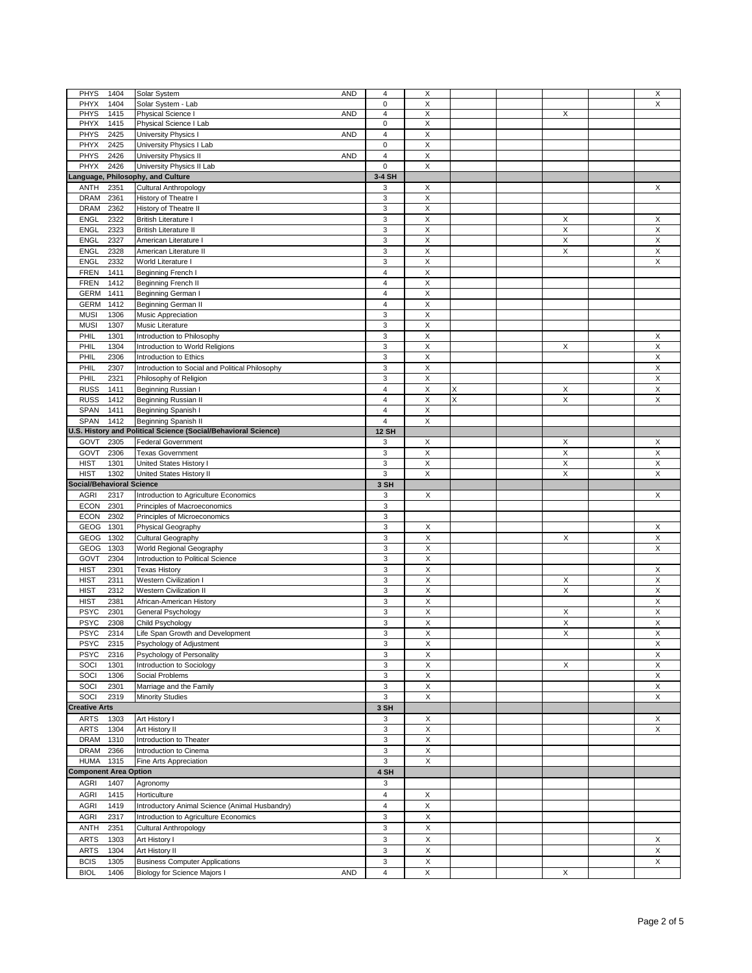| <b>PHYS</b><br>1404                        | Solar System<br>AND                                                                 | 4                       | Χ                         |   |                | X                         |
|--------------------------------------------|-------------------------------------------------------------------------------------|-------------------------|---------------------------|---|----------------|---------------------------|
|                                            |                                                                                     |                         |                           |   |                |                           |
| PHYX<br>1404                               | Solar System - Lab                                                                  | $\mathbf 0$             | X                         |   |                | X                         |
| <b>PHYS</b><br>1415                        | Physical Science I<br>AND                                                           | $\overline{4}$          | $\overline{X}$            |   | X              |                           |
| PHYX<br>1415                               | Physical Science I Lab                                                              | 0                       | X                         |   |                |                           |
| PHYS<br>2425                               | University Physics I<br><b>AND</b>                                                  | $\overline{4}$          | $\mathsf X$               |   |                |                           |
|                                            |                                                                                     |                         |                           |   |                |                           |
| PHYX<br>2425                               | University Physics I Lab                                                            | 0                       | X                         |   |                |                           |
| PHYS<br>2426                               | University Physics II<br><b>AND</b>                                                 | 4                       | X                         |   |                |                           |
| PHYX<br>2426                               | University Physics II Lab                                                           | $\mathbf 0$             | X                         |   |                |                           |
|                                            |                                                                                     |                         |                           |   |                |                           |
| Language, Philosophy, and Culture          |                                                                                     | 3-4 SH                  |                           |   |                |                           |
| <b>ANTH</b><br>2351                        | <b>Cultural Anthropology</b>                                                        | 3                       | X                         |   |                | X                         |
| <b>DRAM</b><br>2361                        | History of Theatre I                                                                | 3                       | $\mathsf X$               |   |                |                           |
| <b>DRAM</b><br>2362                        | History of Theatre II                                                               | 3                       | $\mathsf X$               |   |                |                           |
|                                            |                                                                                     |                         |                           |   |                |                           |
| <b>ENGL</b><br>2322                        | <b>British Literature I</b>                                                         | 3                       | X                         |   | X              | X                         |
| ENGL<br>2323                               | <b>British Literature II</b>                                                        | 3                       | $\mathsf X$               |   | $\mathsf X$    | $\overline{\mathsf{X}}$   |
| ENGL<br>2327                               | American Literature I                                                               | 3                       | X                         |   | X              | X                         |
| <b>ENGL</b><br>2328                        | American Literature II                                                              | 3                       | X                         |   | $\pmb{\times}$ | X                         |
|                                            |                                                                                     |                         |                           |   |                |                           |
| <b>ENGL</b><br>2332                        | World Literature I                                                                  | 3                       | X                         |   |                | X                         |
| <b>FREN</b><br>1411                        | Beginning French I                                                                  | $\overline{4}$          | $\boldsymbol{\mathsf{X}}$ |   |                |                           |
| <b>FREN</b><br>1412                        | Beginning French II                                                                 | 4                       | X                         |   |                |                           |
|                                            |                                                                                     | $\overline{4}$          |                           |   |                |                           |
| <b>GERM</b><br>1411                        | Beginning German I                                                                  |                         | $\mathsf X$               |   |                |                           |
| <b>GERM</b><br>1412                        | <b>Beginning German II</b>                                                          | $\overline{4}$          | X                         |   |                |                           |
| <b>MUSI</b><br>1306                        | Music Appreciation                                                                  | 3                       | X                         |   |                |                           |
| <b>MUSI</b><br>1307                        | Music Literature                                                                    | 3                       | $\mathsf X$               |   |                |                           |
|                                            |                                                                                     |                         |                           |   |                |                           |
| PHIL<br>1301                               | Introduction to Philosophy                                                          | 3                       | X                         |   |                | X                         |
| PHIL<br>1304                               | Introduction to World Religions                                                     | 3                       | X                         |   | X              | X                         |
| PHIL<br>2306                               | Introduction to Ethics                                                              | 3                       | X                         |   |                | $\boldsymbol{\mathsf{X}}$ |
|                                            |                                                                                     |                         |                           |   |                |                           |
| PHIL<br>2307                               | Introduction to Social and Political Philosophy                                     | 3                       | $\overline{X}$            |   |                | $\overline{X}$            |
| PHIL<br>2321                               | Philosophy of Religion                                                              | 3                       | $\mathsf X$               |   |                | $\mathsf X$               |
| <b>RUSS</b><br>1411                        | Beginning Russian I                                                                 | $\overline{4}$          | X                         | X | X              | $\mathsf X$               |
|                                            |                                                                                     |                         |                           | X |                |                           |
| <b>RUSS</b><br>1412                        | Beginning Russian II                                                                | $\overline{4}$          | X                         |   | X              | X                         |
| SPAN<br>1411                               | Beginning Spanish I                                                                 | $\overline{4}$          | X                         |   |                |                           |
| SPAN<br>1412                               | Beginning Spanish II                                                                | $\overline{\mathbf{4}}$ | X                         |   |                |                           |
|                                            | U.S. History and Political Science (Social/Behavioral Science)                      | <b>12 SH</b>            |                           |   |                |                           |
|                                            |                                                                                     |                         |                           |   |                |                           |
| GOVT<br>2305                               | <b>Federal Government</b>                                                           | 3                       | X                         |   | X              | X                         |
| GOVT<br>2306                               | <b>Texas Government</b>                                                             | 3                       | $\overline{\mathsf{x}}$   |   | $\mathsf X$    | $\overline{X}$            |
| <b>HIST</b><br>1301                        | United States History I                                                             | 3                       | X                         |   | X              | X                         |
|                                            |                                                                                     |                         |                           |   |                |                           |
|                                            |                                                                                     |                         |                           |   |                |                           |
| <b>HIST</b><br>1302                        | United States History II                                                            | 3                       | X                         |   | X              | $\mathsf X$               |
| <b>Social/Behavioral Science</b>           |                                                                                     | 3 SH                    |                           |   |                |                           |
| <b>AGRI</b><br>2317                        |                                                                                     | 3                       | X                         |   |                | X                         |
|                                            | Introduction to Agriculture Economics                                               |                         |                           |   |                |                           |
| <b>ECON</b><br>2301                        | Principles of Macroeconomics                                                        | 3                       |                           |   |                |                           |
| <b>ECON</b><br>2302                        | Principles of Microeconomics                                                        | 3                       |                           |   |                |                           |
| GEOG<br>1301                               | Physical Geography                                                                  | 3                       | X                         |   |                | X                         |
|                                            |                                                                                     |                         |                           |   |                |                           |
| GEOG<br>1302                               | Cultural Geography                                                                  | 3                       | X                         |   | X              | $\mathsf X$               |
| GEOG<br>1303                               | World Regional Geography                                                            | 3                       | $\mathsf X$               |   |                | $\mathsf X$               |
| 2304<br>GOVT                               | Introduction to Political Science                                                   | 3                       | X                         |   |                |                           |
| <b>HIST</b><br>2301                        | <b>Texas History</b>                                                                | 3                       | X                         |   |                | X                         |
|                                            |                                                                                     |                         |                           |   |                |                           |
| <b>HIST</b><br>2311                        | Western Civilization I                                                              | 3                       | X                         |   | X              | X                         |
| <b>HIST</b><br>2312                        | Western Civilization II                                                             | 3                       | X                         |   | X              | $\mathsf X$               |
| <b>HIST</b><br>2381                        | African-American History                                                            | 3                       | X                         |   |                | X                         |
| <b>PSYC</b><br>2301                        |                                                                                     | 3                       | Χ                         |   | X              | $\mathsf X$               |
|                                            | General Psychology                                                                  |                         |                           |   |                |                           |
| <b>PSYC</b><br>2308                        | Child Psychology                                                                    | 3                       | X                         |   | X              | X                         |
| <b>PSYC</b><br>2314                        | Life Span Growth and Development                                                    | 3                       | $\overline{X}$            |   | X              | $\overline{X}$            |
| <b>PSYC</b><br>2315                        | Psychology of Adjustment                                                            | 3                       | X                         |   |                | X                         |
|                                            |                                                                                     |                         |                           |   |                |                           |
| <b>PSYC</b><br>2316                        | Psychology of Personality                                                           | 3                       | X                         |   |                | X                         |
| SOCI<br>1301                               | Introduction to Sociology                                                           | 3                       | X                         |   | X              | X                         |
| SOCI<br>1306                               | Social Problems                                                                     | 3                       | X                         |   |                | X                         |
| SOCI<br>2301                               | Marriage and the Family                                                             | 3                       | X                         |   |                | X                         |
|                                            |                                                                                     |                         |                           |   |                |                           |
| SOCI<br>2319                               | <b>Minority Studies</b>                                                             | 3                       | X                         |   |                | X                         |
| <b>Creative Arts</b>                       |                                                                                     | 3 SH                    |                           |   |                |                           |
| <b>ARTS</b><br>1303                        | Art History I                                                                       | 3                       | X                         |   |                | X                         |
|                                            |                                                                                     |                         |                           |   |                |                           |
| <b>ARTS</b><br>1304                        | Art History II                                                                      | 3                       | Χ                         |   |                | X                         |
| DRAM 1310                                  | Introduction to Theater                                                             | 3                       | $\mathsf X$               |   |                |                           |
| <b>DRAM</b><br>2366                        | Introduction to Cinema                                                              | 3                       | $\pmb{\mathsf{X}}$        |   |                |                           |
|                                            |                                                                                     |                         |                           |   |                |                           |
| <b>HUMA</b><br>1315                        | Fine Arts Appreciation                                                              | 3                       | X                         |   |                |                           |
| <b>Component Area Option</b>               |                                                                                     | 4 SH                    |                           |   |                |                           |
| <b>AGRI</b><br>1407                        | Agronomy                                                                            | 3                       |                           |   |                |                           |
|                                            |                                                                                     |                         |                           |   |                |                           |
| 1415<br>AGRI                               | Horticulture                                                                        | 4                       | X                         |   |                |                           |
| 1419<br><b>AGRI</b>                        | Introductory Animal Science (Animal Husbandry)                                      | $\overline{\mathbf{4}}$ | $\mathsf X$               |   |                |                           |
| AGRI<br>2317                               | Introduction to Agriculture Economics                                               | 3                       | $\pmb{\mathsf{X}}$        |   |                |                           |
|                                            |                                                                                     |                         |                           |   |                |                           |
| <b>ANTH</b><br>2351                        | <b>Cultural Anthropology</b>                                                        | 3                       | $\mathsf X$               |   |                |                           |
| 1303<br><b>ARTS</b>                        | Art History I                                                                       | 3                       | X                         |   |                | X                         |
| 1304<br><b>ARTS</b>                        | Art History II                                                                      | 3                       | $\mathsf X$               |   |                | X                         |
|                                            |                                                                                     |                         |                           |   |                |                           |
| <b>BCIS</b><br>1305<br><b>BIOL</b><br>1406 | <b>Business Computer Applications</b><br>Biology for Science Majors I<br><b>AND</b> | 3<br>$\overline{4}$     | X<br>X                    |   | X              | $\mathsf X$               |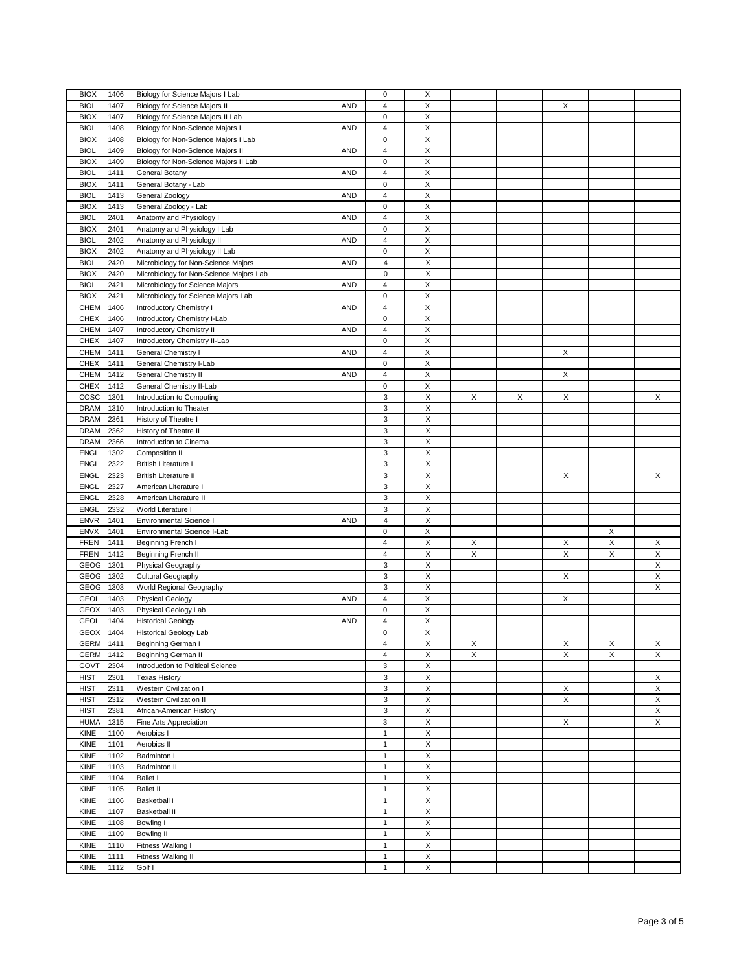| 1406<br><b>BIOX</b> | Biology for Science Majors I Lab                  | $\mathbf 0$             | X                  |   |   |   |   |             |
|---------------------|---------------------------------------------------|-------------------------|--------------------|---|---|---|---|-------------|
| <b>BIOL</b><br>1407 | Biology for Science Majors II<br><b>AND</b>       | $\overline{\mathbf{4}}$ | $\mathsf X$        |   |   | X |   |             |
|                     |                                                   | $\pmb{0}$               | X                  |   |   |   |   |             |
| <b>BIOX</b><br>1407 | Biology for Science Majors II Lab                 |                         |                    |   |   |   |   |             |
| <b>BIOL</b><br>1408 | Biology for Non-Science Majors I<br><b>AND</b>    | $\overline{\mathbf{4}}$ | $\mathsf X$        |   |   |   |   |             |
| <b>BIOX</b><br>1408 | Biology for Non-Science Majors I Lab              | $\pmb{0}$               | X                  |   |   |   |   |             |
| <b>BIOL</b><br>1409 | Biology for Non-Science Majors II<br><b>AND</b>   | $\overline{\mathbf{4}}$ | $\mathsf X$        |   |   |   |   |             |
| <b>BIOX</b><br>1409 | Biology for Non-Science Majors II Lab             | $\pmb{0}$               | Χ                  |   |   |   |   |             |
| 1411<br><b>BIOL</b> | <b>AND</b><br>General Botany                      | $\overline{\mathbf{4}}$ | X                  |   |   |   |   |             |
| <b>BIOX</b><br>1411 | General Botany - Lab                              | $\pmb{0}$               | X                  |   |   |   |   |             |
| <b>BIOL</b><br>1413 | <b>AND</b><br>General Zoology                     | $\overline{\mathbf{4}}$ | X                  |   |   |   |   |             |
| <b>BIOX</b><br>1413 | General Zoology - Lab                             | 0                       | X                  |   |   |   |   |             |
| <b>BIOL</b><br>2401 | Anatomy and Physiology I<br>AND                   | $\overline{\mathbf{4}}$ | X                  |   |   |   |   |             |
|                     |                                                   |                         |                    |   |   |   |   |             |
| <b>BIOX</b><br>2401 | Anatomy and Physiology I Lab                      | 0                       | Χ                  |   |   |   |   |             |
| 2402<br><b>BIOL</b> | Anatomy and Physiology II<br><b>AND</b>           | $\overline{\mathbf{4}}$ | X                  |   |   |   |   |             |
| <b>BIOX</b><br>2402 | Anatomy and Physiology II Lab                     | $\pmb{0}$               | X                  |   |   |   |   |             |
| 2420<br><b>BIOL</b> | <b>AND</b><br>Microbiology for Non-Science Majors | 4                       | $\mathsf X$        |   |   |   |   |             |
| <b>BIOX</b><br>2420 | Microbiology for Non-Science Majors Lab           | $\pmb{0}$               | Χ                  |   |   |   |   |             |
| <b>BIOL</b><br>2421 | Microbiology for Science Majors<br><b>AND</b>     | $\overline{4}$          | X                  |   |   |   |   |             |
| <b>BIOX</b><br>2421 | Microbiology for Science Majors Lab               | $\mathbf 0$             | X                  |   |   |   |   |             |
| CHEM<br>1406        | <b>AND</b><br>Introductory Chemistry I            | $\overline{4}$          | X                  |   |   |   |   |             |
|                     |                                                   | $\mathbf 0$             | $\mathsf X$        |   |   |   |   |             |
| CHEX<br>1406        | Introductory Chemistry I-Lab                      |                         |                    |   |   |   |   |             |
| CHEM<br>1407        | <b>AND</b><br>Introductory Chemistry II           | $\overline{4}$          | X                  |   |   |   |   |             |
| <b>CHEX</b><br>1407 | Introductory Chemistry II-Lab                     | $\pmb{0}$               | $\mathsf X$        |   |   |   |   |             |
| CHEM<br>1411        | <b>AND</b><br>General Chemistry I                 | $\overline{\mathbf{4}}$ | X                  |   |   | X |   |             |
| <b>CHEX</b><br>1411 | General Chemistry I-Lab                           | $\pmb{0}$               | $\mathsf X$        |   |   |   |   |             |
| 1412<br>CHEM        | General Chemistry II<br><b>AND</b>                | $\pmb{4}$               | $\mathsf X$        |   |   | X |   |             |
| <b>CHEX</b><br>1412 | General Chemistry II-Lab                          | $\mathbf 0$             | $\mathsf X$        |   |   |   |   |             |
| COSC<br>1301        | Introduction to Computing                         | 3                       | X                  | X | X | X |   | X           |
| <b>DRAM</b><br>1310 | Introduction to Theater                           | 3                       | $\mathsf X$        |   |   |   |   |             |
|                     |                                                   |                         |                    |   |   |   |   |             |
| <b>DRAM</b><br>2361 | History of Theatre I                              | 3                       | Χ                  |   |   |   |   |             |
| 2362<br><b>DRAM</b> | History of Theatre II                             | 3                       | $\mathsf X$        |   |   |   |   |             |
| <b>DRAM</b><br>2366 | Introduction to Cinema                            | 3                       | X                  |   |   |   |   |             |
| <b>ENGL</b><br>1302 | Composition II                                    | 3                       | X                  |   |   |   |   |             |
| <b>ENGL</b><br>2322 | <b>British Literature I</b>                       | 3                       | Χ                  |   |   |   |   |             |
| 2323<br><b>ENGL</b> | <b>British Literature II</b>                      | 3                       | Χ                  |   |   | X |   | X           |
| <b>ENGL</b><br>2327 | American Literature I                             | 3                       | X                  |   |   |   |   |             |
| <b>ENGL</b><br>2328 | American Literature II                            | 3                       | Χ                  |   |   |   |   |             |
| <b>ENGL</b><br>2332 | World Literature                                  | 3                       | $\pmb{\mathsf{X}}$ |   |   |   |   |             |
|                     |                                                   | 4                       | $\mathsf X$        |   |   |   |   |             |
| <b>ENVR</b><br>1401 | <b>AND</b><br><b>Environmental Science I</b>      |                         |                    |   |   |   |   |             |
| ENVX<br>1401        | Environmental Science I-Lab                       | $\pmb{0}$               | X                  |   |   |   | X |             |
| <b>FREN</b><br>1411 | Beginning French I                                | $\overline{\mathbf{4}}$ | X                  | X |   | X | X | X           |
| <b>FREN</b><br>1412 | <b>Beginning French II</b>                        | $\overline{\mathbf{4}}$ | $\mathsf X$        | X |   | Χ | X | X           |
| GEOG<br>1301        | Physical Geography                                | 3                       | X                  |   |   |   |   | X           |
| GEOG<br>1302        | Cultural Geography                                | 3                       | $\mathsf X$        |   |   | X |   | $\mathsf X$ |
| GEOG<br>1303        | World Regional Geography                          | 3                       | X                  |   |   |   |   | X           |
| <b>GEOL</b><br>1403 | <b>AND</b><br><b>Physical Geology</b>             | $\overline{\mathbf{4}}$ | X                  |   |   | X |   |             |
| GEOX<br>1403        | Physical Geology Lab                              | $\pmb{0}$               | Χ                  |   |   |   |   |             |
|                     |                                                   |                         |                    |   |   |   |   |             |
| <b>GEOL</b><br>1404 | <b>AND</b><br><b>Historical Geology</b>           | $\overline{\mathbf{4}}$ | X                  |   |   |   |   |             |
| GEOX<br>1404        | <b>Historical Geology Lab</b>                     | 0                       | X                  |   |   |   |   |             |
| GERM 1411           | Beginning German I                                | 4                       | X                  | X |   | X | Х | X           |
| GERM<br>1412        | <b>Beginning German II</b>                        | $\overline{\mathbf{4}}$ | $\mathsf X$        | X |   | X | X | X           |
| 2304<br>GOVT        |                                                   |                         |                    |   |   |   |   |             |
|                     | Introduction to Political Science                 | 3                       | $\mathsf X$        |   |   |   |   |             |
| <b>HIST</b><br>2301 | <b>Texas History</b>                              | 3                       |                    |   |   |   |   | X           |
|                     |                                                   |                         | $\mathsf X$        |   |   |   |   |             |
| <b>HIST</b><br>2311 | Western Civilization I                            | 3                       | $\mathsf X$        |   |   | X |   | X           |
| <b>HIST</b><br>2312 | <b>Western Civilization II</b>                    | 3                       | $\mathsf X$        |   |   | X |   | X           |
| <b>HIST</b><br>2381 | African-American History                          | 3                       | $\mathsf X$        |   |   |   |   | X           |
| <b>HUMA</b><br>1315 | Fine Arts Appreciation                            | 3                       | $\mathsf X$        |   |   | X |   | X           |
| KINE<br>1100        | Aerobics I                                        | $\mathbf{1}$            | $\mathsf X$        |   |   |   |   |             |
| 1101<br>KINE        | Aerobics II                                       | $\mathbf{1}$            | X                  |   |   |   |   |             |
| KINE<br>1102        | Badminton I                                       | $\mathbf{1}$            | Χ                  |   |   |   |   |             |
| 1103<br>KINE        | <b>Badminton II</b>                               | $\mathbf{1}$            | X                  |   |   |   |   |             |
| KINE<br>1104        | <b>Ballet I</b>                                   | $\mathbf{1}$            | $\mathsf X$        |   |   |   |   |             |
|                     |                                                   |                         |                    |   |   |   |   |             |
| KINE<br>1105        | <b>Ballet II</b>                                  | $\mathbf{1}$            | $\mathsf X$        |   |   |   |   |             |
| 1106<br>KINE        | Basketball I                                      | $\mathbf{1}$            | $\mathsf X$        |   |   |   |   |             |
| KINE<br>1107        | <b>Basketball II</b>                              | $\mathbf{1}$            | $\mathsf X$        |   |   |   |   |             |
| KINE<br>1108        | Bowling I                                         | $\mathbf{1}$            | X                  |   |   |   |   |             |
| KINE<br>1109        | <b>Bowling II</b>                                 | $\mathbf{1}$            | $\mathsf X$        |   |   |   |   |             |
| KINE<br>1110        | Fitness Walking I                                 | $\mathbf{1}$            | X                  |   |   |   |   |             |
| KINE<br>1111        | Fitness Walking II                                | $\mathbf{1}$            | $\mathsf X$        |   |   |   |   |             |
| KINE<br>1112        | Golf I                                            | $\mathbf{1}$            | X                  |   |   |   |   |             |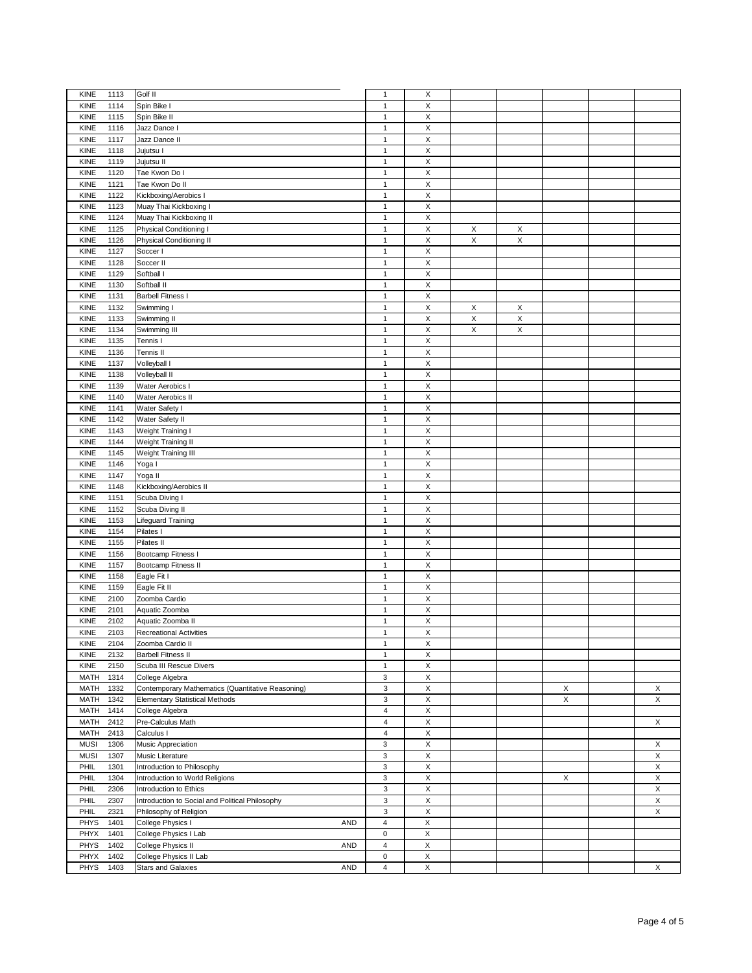| <b>KINE</b><br>1113                 |                                                            |                                      |                    |             |   |   |   |
|-------------------------------------|------------------------------------------------------------|--------------------------------------|--------------------|-------------|---|---|---|
|                                     | Golf II                                                    | $\mathbf{1}$                         | X                  |             |   |   |   |
| 1114<br><b>KINE</b>                 | Spin Bike I                                                | $\mathbf{1}$                         | X                  |             |   |   |   |
| KINE<br>1115                        | Spin Bike II                                               | $\mathbf{1}$                         | X                  |             |   |   |   |
| 1116<br>KINE                        | Jazz Dance I                                               | $\mathbf{1}$                         | X                  |             |   |   |   |
|                                     |                                                            |                                      |                    |             |   |   |   |
| 1117<br><b>KINE</b>                 | Jazz Dance II                                              | $\mathbf{1}$                         | $\mathsf X$        |             |   |   |   |
| 1118<br>KINE                        | Jujutsu I                                                  | $\mathbf{1}$                         | $\mathsf X$        |             |   |   |   |
| 1119<br>KINE                        | Jujutsu II                                                 | $\mathbf{1}$                         | $\mathsf X$        |             |   |   |   |
| <b>KINE</b><br>1120                 | Tae Kwon Do I                                              | $\mathbf{1}$                         | Χ                  |             |   |   |   |
|                                     |                                                            |                                      | $\mathsf X$        |             |   |   |   |
| 1121<br><b>KINE</b>                 | Tae Kwon Do II                                             | $\mathbf{1}$                         |                    |             |   |   |   |
| <b>KINE</b><br>1122                 | Kickboxing/Aerobics I                                      | $\mathbf{1}$                         | X                  |             |   |   |   |
| 1123<br><b>KINE</b>                 | Muay Thai Kickboxing I                                     | $\mathbf{1}$                         | X                  |             |   |   |   |
| <b>KINE</b><br>1124                 | Muay Thai Kickboxing II                                    | $\mathbf{1}$                         | $\mathsf X$        |             |   |   |   |
| <b>KINE</b><br>1125                 | Physical Conditioning I                                    | $\mathbf{1}$                         | X                  | X           | X |   |   |
|                                     |                                                            |                                      |                    |             |   |   |   |
| <b>KINE</b><br>1126                 | Physical Conditioning II                                   | $\mathbf{1}$                         | X                  | $\mathsf X$ | X |   |   |
| 1127<br>KINE                        | Soccer I                                                   | $\mathbf{1}$                         | X                  |             |   |   |   |
| KINE<br>1128                        | Soccer II                                                  | $\mathbf{1}$                         | $\mathsf X$        |             |   |   |   |
| 1129<br>KINE                        | Softball I                                                 | $\mathbf{1}$                         | $\pmb{\times}$     |             |   |   |   |
|                                     |                                                            |                                      |                    |             |   |   |   |
| 1130<br><b>KINE</b>                 | Softball II                                                | $\mathbf{1}$                         | X                  |             |   |   |   |
| 1131<br>KINE                        | <b>Barbell Fitness I</b>                                   | $\mathbf{1}$                         | $\mathsf X$        |             |   |   |   |
| KINE<br>1132                        | Swimming I                                                 | $\mathbf{1}$                         | $\mathsf X$        | X           | Х |   |   |
| KINE<br>1133                        | Swimming II                                                | $\mathbf{1}$                         | X                  | X           | X |   |   |
|                                     |                                                            |                                      |                    |             |   |   |   |
| 1134<br>KINE                        | Swimming III                                               | $\mathbf{1}$                         | $\mathsf X$        | X           | X |   |   |
| 1135<br>KINE                        | Tennis I                                                   | $\mathbf{1}$                         | X                  |             |   |   |   |
| 1136<br><b>KINE</b>                 | Tennis II                                                  | $\mathbf{1}$                         | $\mathsf X$        |             |   |   |   |
| 1137<br>KINE                        | Volleyball I                                               | $\mathbf{1}$                         | $\mathsf X$        |             |   |   |   |
|                                     |                                                            |                                      |                    |             |   |   |   |
| 1138<br><b>KINE</b>                 | Volleyball II                                              | $\mathbf{1}$                         | $\mathsf X$        |             |   |   |   |
| KINE<br>1139                        | Water Aerobics I                                           | $\mathbf{1}$                         | X                  |             |   |   |   |
| KINE<br>1140                        | Water Aerobics II                                          | $\mathbf{1}$                         | $\mathsf X$        |             |   |   |   |
| KINE                                |                                                            | $\mathbf{1}$                         | $\mathsf X$        |             |   |   |   |
| 1141                                | Water Safety I                                             |                                      |                    |             |   |   |   |
| 1142<br><b>KINE</b>                 | Water Safety II                                            | $\mathbf{1}$                         | $\mathsf X$        |             |   |   |   |
| KINE<br>1143                        | Weight Training I                                          | $\mathbf{1}$                         | $\mathsf X$        |             |   |   |   |
| 1144<br><b>KINE</b>                 | Weight Training II                                         | $\mathbf{1}$                         | $\mathsf X$        |             |   |   |   |
| <b>KINE</b>                         | Weight Training III                                        |                                      |                    |             |   |   |   |
| 1145                                |                                                            | $\mathbf{1}$                         | Χ                  |             |   |   |   |
| 1146<br><b>KINE</b>                 | Yoga I                                                     | $\mathbf{1}$                         | $\mathsf X$        |             |   |   |   |
| <b>KINE</b><br>1147                 | Yoga II                                                    | $\mathbf{1}$                         | X                  |             |   |   |   |
| <b>KINE</b><br>1148                 | Kickboxing/Aerobics II                                     | $\mathbf{1}$                         | X                  |             |   |   |   |
| <b>KINE</b><br>1151                 | Scuba Diving I                                             | $\mathbf{1}$                         | $\mathsf X$        |             |   |   |   |
|                                     |                                                            |                                      |                    |             |   |   |   |
| 1152<br>KINE                        | Scuba Diving II                                            | $\mathbf{1}$                         | X                  |             |   |   |   |
| <b>KINE</b><br>1153                 | Lifeguard Training                                         | $\mathbf{1}$                         | X                  |             |   |   |   |
| 1154<br>KINE                        | Pilates I                                                  | $\mathbf{1}$                         | $\mathsf X$        |             |   |   |   |
|                                     |                                                            |                                      |                    |             |   |   |   |
|                                     |                                                            |                                      |                    |             |   |   |   |
| 1155<br>KINE                        | Pilates II                                                 | $\mathbf{1}$                         | $\mathsf X$        |             |   |   |   |
| KINE<br>1156                        | Bootcamp Fitness I                                         | $\mathbf{1}$                         | $\pmb{\mathsf{X}}$ |             |   |   |   |
| 1157<br>KINE                        | Bootcamp Fitness II                                        | $\mathbf{1}$                         | $\mathsf X$        |             |   |   |   |
|                                     |                                                            |                                      |                    |             |   |   |   |
| 1158<br>KINE                        | Eagle Fit I                                                | $\mathbf{1}$                         | X                  |             |   |   |   |
| KINE<br>1159                        | Eagle Fit II                                               | $\mathbf{1}$                         | $\mathsf X$        |             |   |   |   |
| 2100<br>KINE                        | Zoomba Cardio                                              | $\mathbf{1}$                         | X                  |             |   |   |   |
| KINE<br>2101                        | Aquatic Zoomba                                             | $\mathbf{1}$                         | $\mathsf X$        |             |   |   |   |
|                                     |                                                            | $\mathbf{1}$                         |                    |             |   |   |   |
| KINE<br>2102                        | Aquatic Zoomba II                                          |                                      | Χ                  |             |   |   |   |
| <b>KINE</b><br>2103                 | <b>Recreational Activities</b>                             | $\mathbf{1}$                         | X                  |             |   |   |   |
| 2104<br>KINE                        | Zoomba Cardio II                                           | $\mathbf{1}$                         | X                  |             |   |   |   |
| KINE<br>2132                        | <b>Barbell Fitness II</b>                                  | $\mathbf{1}$                         | X                  |             |   |   |   |
| KINE<br>2150                        | Scuba III Rescue Divers                                    | $\mathbf{1}$                         | X                  |             |   |   |   |
|                                     |                                                            |                                      |                    |             |   |   |   |
| <b>MATH</b><br>1314                 | College Algebra                                            | $\mathsf 3$                          | $\mathsf X$        |             |   |   |   |
| <b>MATH</b><br>1332                 | Contemporary Mathematics (Quantitative Reasoning)          | 3                                    | $\pmb{\mathsf{X}}$ |             |   | X | X |
| 1342<br><b>MATH</b>                 | <b>Elementary Statistical Methods</b>                      | 3                                    | $\mathsf X$        |             |   | X | X |
| 1414                                |                                                            | 4                                    |                    |             |   |   |   |
| MATH                                | College Algebra                                            |                                      | X                  |             |   |   |   |
| <b>MATH</b><br>2412                 | Pre-Calculus Math                                          | $\overline{\mathbf{4}}$              | $\mathsf X$        |             |   |   | X |
| <b>MATH</b><br>2413                 | Calculus I                                                 | 4                                    | X                  |             |   |   |   |
| <b>MUSI</b><br>1306                 | Music Appreciation                                         | 3                                    | $\mathsf X$        |             |   |   | X |
| <b>MUSI</b><br>1307                 | Music Literature                                           | 3                                    | $\mathsf X$        |             |   |   | X |
|                                     |                                                            |                                      |                    |             |   |   |   |
| PHIL<br>1301                        | Introduction to Philosophy                                 | 3                                    | X                  |             |   |   | X |
| PHIL<br>1304                        | Introduction to World Religions                            | 3                                    | X                  |             |   | X | X |
| PHIL<br>2306                        | Introduction to Ethics                                     | 3                                    | X                  |             |   |   | X |
| PHIL<br>2307                        | Introduction to Social and Political Philosophy            | 3                                    | $\mathsf X$        |             |   |   | X |
|                                     |                                                            |                                      |                    |             |   |   |   |
| 2321<br>PHIL                        | Philosophy of Religion                                     | 3                                    | $\mathsf X$        |             |   |   | X |
| PHYS<br>1401                        | College Physics I<br>AND                                   | $\pmb{4}$                            | $\mathsf X$        |             |   |   |   |
| PHYX<br>1401                        | College Physics I Lab                                      | $\pmb{0}$                            | $\mathsf X$        |             |   |   |   |
| <b>PHYS</b><br>1402                 | College Physics II<br>AND                                  | $\sqrt{4}$                           | $\mathsf X$        |             |   |   |   |
|                                     |                                                            |                                      |                    |             |   |   |   |
| PHYX<br>1402<br><b>PHYS</b><br>1403 | College Physics II Lab<br><b>Stars and Galaxies</b><br>AND | $\pmb{0}$<br>$\overline{\mathbf{4}}$ | X<br>$\mathsf X$   |             |   |   | X |